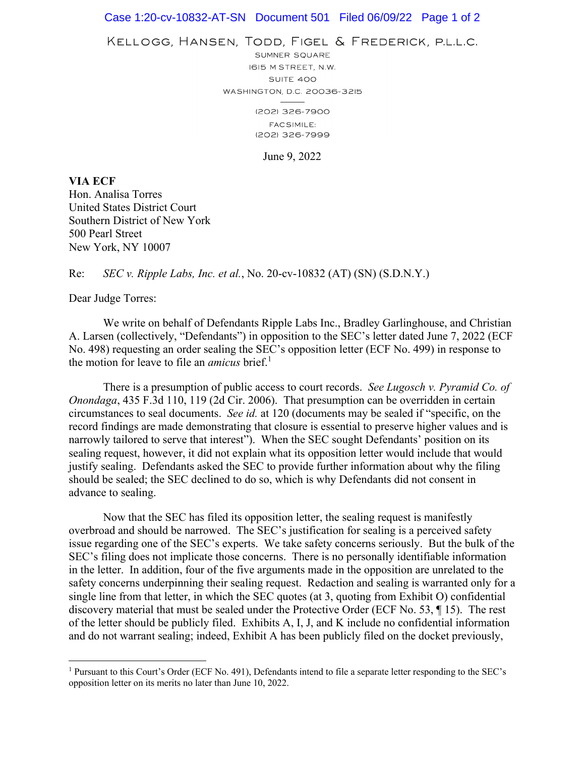## Case 1:20-cv-10832-AT-SN Document 501 Filed 06/09/22 Page 1 of 2

KELLOGG, HANSEN, TODD, FIGEL & FREDERICK, P.L.L.C.

SUMNER SQUARE I6I5 M STREET, N.W. SUITE 400 WASHINGTON, D.C. 20036-3215

> (202) 326-7900 **FACSIMILE:** (202) 326-7999

> > June 9, 2022

**VIA ECF**  Hon. Analisa Torres United States District Court Southern District of New York 500 Pearl Street New York, NY 10007

## Re: *SEC v. Ripple Labs, Inc. et al.*, No. 20-cv-10832 (AT) (SN) (S.D.N.Y.)

Dear Judge Torres:

 $\overline{a}$ 

We write on behalf of Defendants Ripple Labs Inc., Bradley Garlinghouse, and Christian A. Larsen (collectively, "Defendants") in opposition to the SEC's letter dated June 7, 2022 (ECF No. 498) requesting an order sealing the SEC's opposition letter (ECF No. 499) in response to the motion for leave to file an *amicus* brief.<sup>1</sup>

There is a presumption of public access to court records. *See Lugosch v. Pyramid Co. of Onondaga*, 435 F.3d 110, 119 (2d Cir. 2006). That presumption can be overridden in certain circumstances to seal documents. *See id.* at 120 (documents may be sealed if "specific, on the record findings are made demonstrating that closure is essential to preserve higher values and is narrowly tailored to serve that interest"). When the SEC sought Defendants' position on its sealing request, however, it did not explain what its opposition letter would include that would justify sealing. Defendants asked the SEC to provide further information about why the filing should be sealed; the SEC declined to do so, which is why Defendants did not consent in advance to sealing.

Now that the SEC has filed its opposition letter, the sealing request is manifestly overbroad and should be narrowed. The SEC's justification for sealing is a perceived safety issue regarding one of the SEC's experts. We take safety concerns seriously. But the bulk of the SEC's filing does not implicate those concerns. There is no personally identifiable information in the letter. In addition, four of the five arguments made in the opposition are unrelated to the safety concerns underpinning their sealing request. Redaction and sealing is warranted only for a single line from that letter, in which the SEC quotes (at 3, quoting from Exhibit O) confidential discovery material that must be sealed under the Protective Order (ECF No. 53, ¶ 15). The rest of the letter should be publicly filed. Exhibits A, I, J, and K include no confidential information and do not warrant sealing; indeed, Exhibit A has been publicly filed on the docket previously,

<sup>&</sup>lt;sup>1</sup> Pursuant to this Court's Order (ECF No. 491), Defendants intend to file a separate letter responding to the SEC's opposition letter on its merits no later than June 10, 2022.